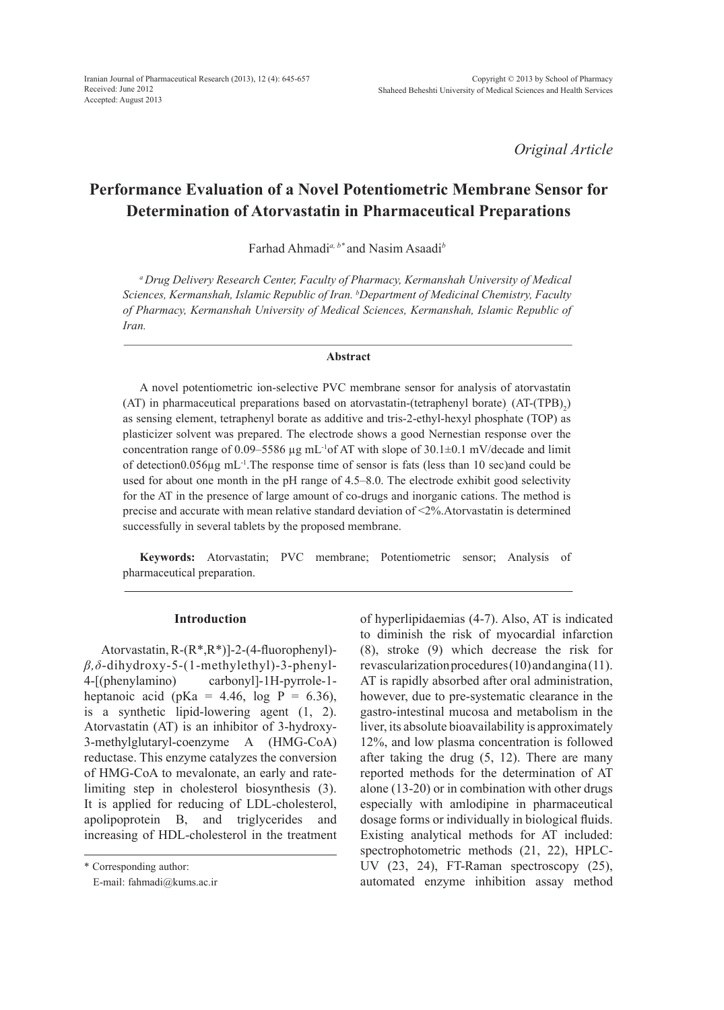*Original Article*

# **Performance Evaluation of a Novel Potentiometric Membrane Sensor for Determination of Atorvastatin in Pharmaceutical Preparations**

Farhad Ahmadi*a, b\** and Nasim Asaadi*<sup>b</sup>*

*a Drug Delivery Research Center, Faculty of Pharmacy, Kermanshah University of Medical Sciences, Kermanshah, Islamic Republic of Iran. b Department of Medicinal Chemistry, Faculty of Pharmacy, Kermanshah University of Medical Sciences, Kermanshah, Islamic Republic of Iran.*

#### **Abstract**

A novel potentiometric ion-selective PVC membrane sensor for analysis of atorvastatin (AT) in pharmaceutical preparations based on atorvastatin-(tetraphenyl borate)  $(AT-(TPB)<sub>2</sub>)$ as sensing element, tetraphenyl borate as additive and tris-2-ethyl-hexyl phosphate (TOP) as plasticizer solvent was prepared. The electrode shows a good Nernestian response over the concentration range of 0.09–5586  $\mu$ g mL<sup>-1</sup>of AT with slope of 30.1±0.1 mV/decade and limit of detection $0.056\mu$ g mL<sup>-1</sup>. The response time of sensor is fats (less than 10 sec)and could be used for about one month in the pH range of 4.5–8.0. The electrode exhibit good selectivity for the AT in the presence of large amount of co-drugs and inorganic cations. The method is precise and accurate with mean relative standard deviation of <2%.Atorvastatin is determined successfully in several tablets by the proposed membrane.

**Keywords:** Atorvastatin; PVC membrane; Potentiometric sensor; Analysis of pharmaceutical preparation.

#### **Introduction**

Atorvastatin, R-(R\*,R\*)]-2-(4-fluorophenyl) *β,δ*-dihydroxy-5-(1-methylethyl)-3-phenyl-4-[(phenylamino) carbonyl]-1H-pyrrole-1 heptanoic acid (pKa =  $4.46$ , log P =  $6.36$ ), is a synthetic lipid-lowering agent (1, 2). Atorvastatin (AT) is an inhibitor of 3-hydroxy-3-methylglutaryl-coenzyme A (HMG-CoA) reductase. This enzyme catalyzes the conversion of HMG-CoA to mevalonate, an early and ratelimiting step in cholesterol biosynthesis (3). It is applied for reducing of LDL-cholesterol, apolipoprotein B, and triglycerides and increasing of HDL-cholesterol in the treatment of hyperlipidaemias (4-7). Also, AT is indicated to diminish the risk of myocardial infarction (8), stroke (9) which decrease the risk for revascularization procedures (10) and angina (11). AT is rapidly absorbed after oral administration, however, due to pre-systematic clearance in the gastro-intestinal mucosa and metabolism in the liver, its absolute bioavailability is approximately 12%, and low plasma concentration is followed after taking the drug (5, 12). There are many reported methods for the determination of AT alone (13-20) or in combination with other drugs especially with amlodipine in pharmaceutical dosage forms or individually in biological fluids. Existing analytical methods for AT included: spectrophotometric methods (21, 22), HPLC-UV (23, 24), FT-Raman spectroscopy (25), automated enzyme inhibition assay method

<sup>\*</sup> Corresponding author:

E-mail: fahmadi@kums.ac.ir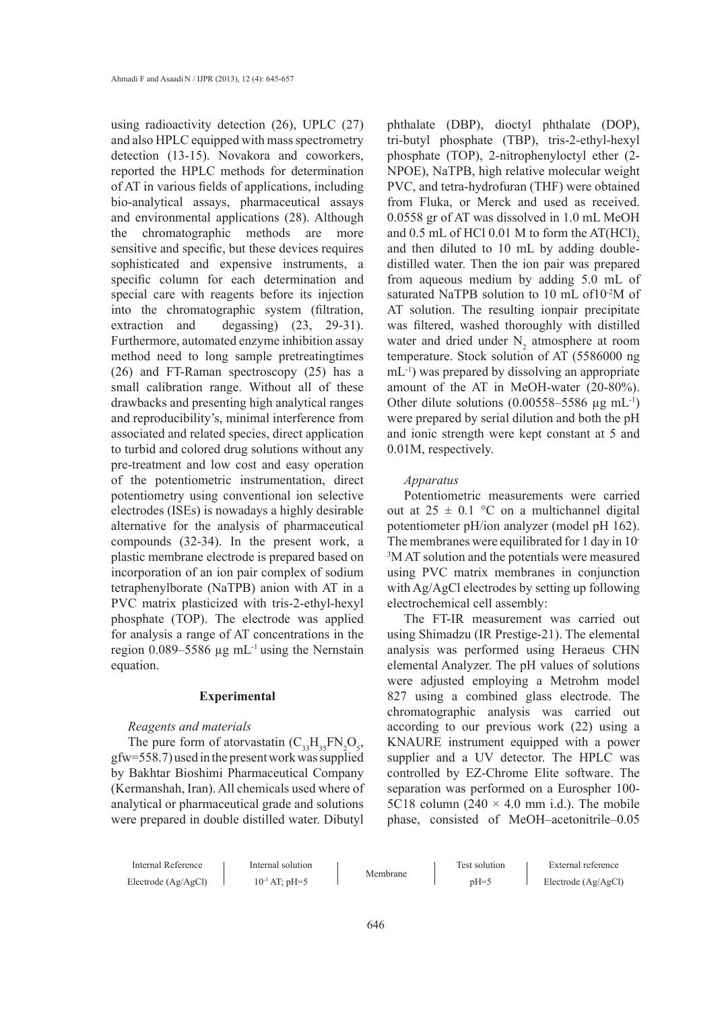using radioactivity detection (26), UPLC (27) and also HPLC equipped with mass spectrometry detection (13-15). Novakora and coworkers, reported the HPLC methods for determination of AT in various fields of applications, including bio-analytical assays, pharmaceutical assays and environmental applications (28). Although the chromatographic methods are more sensitive and specific, but these devices requires sophisticated and expensive instruments, a specific column for each determination and special care with reagents before its injection into the chromatographic system (filtration, extraction and degassing)  $(23, 29-31)$ . Furthermore, automated enzyme inhibition assay method need to long sample pretreatingtimes (26) and FT-Raman spectroscopy (25) has a small calibration range. Without all of these drawbacks and presenting high analytical ranges and reproducibility's, minimal interference from associated and related species, direct application to turbid and colored drug solutions without any pre-treatment and low cost and easy operation of the potentiometric instrumentation, direct potentiometry using conventional ion selective electrodes (ISEs) is nowadays a highly desirable alternative for the analysis of pharmaceutical compounds (32-34). In the present work, a plastic membrane electrode is prepared based on incorporation of an ion pair complex of sodium tetraphenylborate (NaTPB) anion with AT in a PVC matrix plasticized with tris-2-ethyl-hexyl phosphate (TOP). The electrode was applied for analysis a range of AT concentrations in the region  $0.089 - 5586$  µg mL<sup>-1</sup> using the Nernstain equation.

### **Experimental**

# *Reagents and materials*

The pure form of atorvastatin  $(C_{33}H_{35}FN_2O_5)$ , gfw=558.7) used in the present work was supplied by Bakhtar Bioshimi Pharmaceutical Company (Kermanshah, Iran). All chemicals used where of analytical or pharmaceutical grade and solutions were prepared in double distilled water. Dibutyl

phthalate (DBP), dioctyl phthalate (DOP), tri-butyl phosphate (TBP), tris-2-ethyl-hexyl phosphate (TOP), 2-nitrophenyloctyl ether (2- NPOE), NaTPB, high relative molecular weight PVC, and tetra-hydrofuran (THF) were obtained from Fluka, or Merck and used as received. 0.0558 gr of AT was dissolved in 1.0 mL MeOH and  $0.5$  mL of HCl  $0.01$  M to form the AT(HCl)<sub>2</sub> and then diluted to 10 mL by adding doubledistilled water. Then the ion pair was prepared from aqueous medium by adding 5.0 mL of saturated NaTPB solution to 10 mL of10<sup>-2</sup>M of AT solution. The resulting ionpair precipitate was filtered, washed thoroughly with distilled water and dried under  $N_2$  atmosphere at room temperature. Stock solution of AT (5586000 ng mL-1) was prepared by dissolving an appropriate amount of the AT in MeOH-water (20-80%). Other dilute solutions  $(0.00558-5586 \mu g \text{ mL}^{-1})$ were prepared by serial dilution and both the pH and ionic strength were kept constant at 5 and 0.01M, respectively.

#### *Apparatus*

Potentiometric measurements were carried out at  $25 \pm 0.1$  °C on a multichannel digital potentiometer pH/ion analyzer (model pH 162). The membranes were equilibrated for 1 day in 10- 3 M AT solution and the potentials were measured using PVC matrix membranes in conjunction with Ag/AgCl electrodes by setting up following electrochemical cell assembly:

The FT-IR measurement was carried out using Shimadzu (IR Prestige-21). The elemental analysis was performed using Heraeus CHN elemental Analyzer. The pH values of solutions were adjusted employing a Metrohm model 827 using a combined glass electrode. The chromatographic analysis was carried out according to our previous work (22) using a KNAURE instrument equipped with a power supplier and a UV detector. The HPLC was controlled by EZ-Chrome Elite software. The separation was performed on a Eurospher 100- 5C18 column (240  $\times$  4.0 mm i.d.). The mobile phase, consisted of MeOH–acetonitrile–0.05

| Internal Reference    | Internal solution  |          | Test solution | External reference    |
|-----------------------|--------------------|----------|---------------|-----------------------|
| Electrode $(Ag/AgCl)$ | $10^{-3}$ AT; pH=5 | Membrane | $pH=5$        | Electrode $(Ag/AgCl)$ |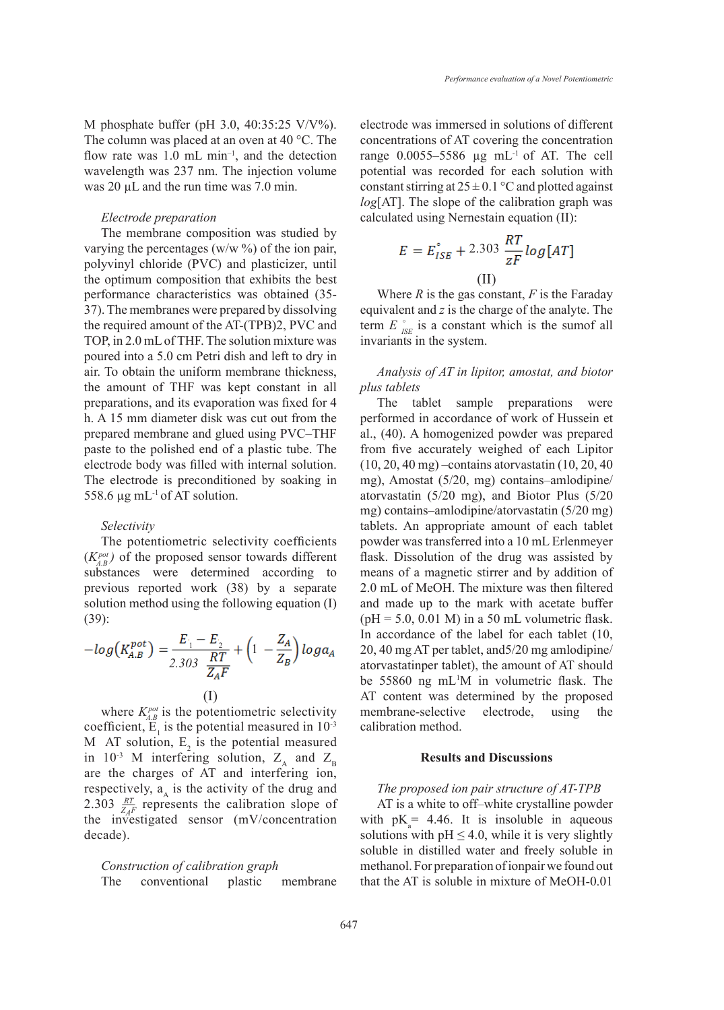M phosphate buffer (pH 3.0, 40:35:25 V/V%). The column was placed at an oven at 40 °C. The flow rate was  $1.0$  mL min<sup>-1</sup>, and the detection wavelength was 237 nm. The injection volume was 20  $\mu$ L and the run time was 7.0 min.

#### *Electrode preparation*

The membrane composition was studied by varying the percentages (w/w  $\%$ ) of the ion pair, polyvinyl chloride (PVC) and plasticizer, until the optimum composition that exhibits the best performance characteristics was obtained (35- 37). The membranes were prepared by dissolving the required amount of the AT-(TPB)2, PVC and TOP, in 2.0 mL of THF. The solution mixture was poured into a 5.0 cm Petri dish and left to dry in air. To obtain the uniform membrane thickness, the amount of THF was kept constant in all preparations, and its evaporation was fixed for 4 h. A 15 mm diameter disk was cut out from the prepared membrane and glued using PVC–THF paste to the polished end of a plastic tube. The electrode body was filled with internal solution. The electrode is preconditioned by soaking in 558.6  $\mu$ g mL<sup>-1</sup> of AT solution.

#### *Selectivity*

The potentiometric selectivity coefficients  $(K_{AB}^{pot})$  of the proposed sensor towards different substances were determined according to previous reported work (38) by a separate solution method using the following equation (I) (39):

$$
-log(K_{A,B}^{pot}) = \frac{E_1 - E_2}{2.303 \frac{RT}{Z_A F}} + \left(1 - \frac{Z_A}{Z_B}\right) log a_A
$$
  
(I)

where  $K_{AB}^{pot}$  is the potentiometric selectivity coefficient,  $E_1$  is the potential measured in  $10^{-3}$ M AT solution,  $E_2$  is the potential measured in 10<sup>-3</sup> M interfering solution,  $Z_A$  and  $Z_B$ are the charges of AT and interfering ion, respectively,  $a_{\lambda}$  is the activity of the drug and 2.303  $\frac{RT}{ZAF}$  represents the calibration slope of the investigated sensor  $(mV/concentration)$ decade).

*Construction of calibration graph* The conventional plastic membrane electrode was immersed in solutions of different concentrations of AT covering the concentration range  $0.0055-5586$  µg mL<sup>-1</sup> of AT. The cell potential was recorded for each solution with constant stirring at  $25 \pm 0.1$  °C and plotted against *log*[AT]. The slope of the calibration graph was calculated using Nernestain equation (II):

$$
E = E_{ISE}^{\circ} + 2.303 \frac{RT}{zF} \log[AT]
$$
  
(II)

Where *R* is the gas constant, *F* is the Faraday equivalent and *z* is the charge of the analyte. The term  $E \int_{\text{S}E}$  is a constant which is the sumof all invariants in the system.

*Analysis of AT in lipitor, amostat, and biotor plus tablets*

The tablet sample preparations were performed in accordance of work of Hussein et al., (40). A homogenized powder was prepared from five accurately weighed of each Lipitor (10, 20, 40 mg) –contains atorvastatin (10, 20, 40 mg), Amostat (5/20, mg) contains–amlodipine/ atorvastatin (5/20 mg), and Biotor Plus (5/20 mg) contains–amlodipine/atorvastatin (5/20 mg) tablets. An appropriate amount of each tablet powder was transferred into a 10 mL Erlenmeyer flask. Dissolution of the drug was assisted by means of a magnetic stirrer and by addition of 2.0 mL of MeOH. The mixture was then filtered and made up to the mark with acetate buffer  $(pH = 5.0, 0.01$  M) in a 50 mL volumetric flask. In accordance of the label for each tablet (10, 20, 40 mg AT per tablet, and5/20 mg amlodipine/ atorvastatinper tablet), the amount of AT should be 55860 ng mL1 M in volumetric flask. The AT content was determined by the proposed membrane-selective electrode, using the calibration method.

### **Results and Discussions**

### *The proposed ion pair structure of AT-TPB*

AT is a white to off–white crystalline powder with  $pK_a = 4.46$ . It is insoluble in aqueous solutions with  $pH \leq 4.0$ , while it is very slightly soluble in distilled water and freely soluble in methanol. For preparation of ionpair we found out that the AT is soluble in mixture of MeOH-0.01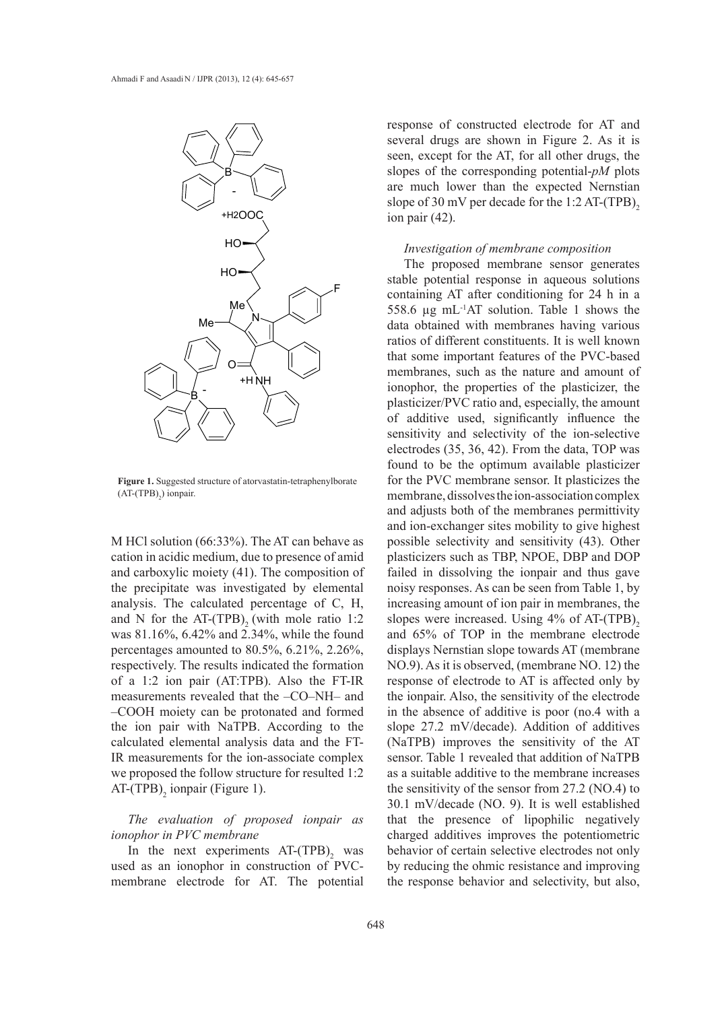

**Figure 1.** Suggested structure of atorvastatin-tetraphenylborate  $(AT-(TPB)<sub>2</sub>)$  ionpair.

M HCl solution (66:33%). The AT can behave as cation in acidic medium, due to presence of amid and carboxylic moiety (41). The composition of the precipitate was investigated by elemental analysis. The calculated percentage of C, H, and N for the AT-(TPB), (with mole ratio  $1:2$ was 81.16%, 6.42% and 2.34%, while the found percentages amounted to 80.5%, 6.21%, 2.26%, respectively. The results indicated the formation of a 1:2 ion pair (AT:TPB). Also the FT-IR measurements revealed that the –CO–NH– and –COOH moiety can be protonated and formed the ion pair with NaTPB. According to the calculated elemental analysis data and the FT-IR measurements for the ion-associate complex we proposed the follow structure for resulted 1:2  $AT-(TPB)<sub>2</sub>$  ionpair (Figure 1).

# *The evaluation of proposed ionpair as ionophor in PVC membrane*

In the next experiments  $AT-(TPB)$ <sub>2</sub> was used as an ionophor in construction of PVCmembrane electrode for AT. The potential

response of constructed electrode for AT and several drugs are shown in Figure 2. As it is seen, except for the AT, for all other drugs, the slopes of the corresponding potential-*pM* plots are much lower than the expected Nernstian slope of 30 mV per decade for the 1:2 AT-(TPB), ion pair (42).

#### *Investigation of membrane composition*

The proposed membrane sensor generates stable potential response in aqueous solutions containing AT after conditioning for 24 h in a 558.6 µg mL-1AT solution. Table 1 shows the data obtained with membranes having various ratios of different constituents. It is well known that some important features of the PVC-based membranes, such as the nature and amount of ionophor, the properties of the plasticizer, the plasticizer/PVC ratio and, especially, the amount of additive used, significantly influence the sensitivity and selectivity of the ion-selective electrodes (35, 36, 42). From the data, TOP was found to be the optimum available plasticizer for the PVC membrane sensor. It plasticizes the membrane, dissolves the ion-association complex and adjusts both of the membranes permittivity and ion-exchanger sites mobility to give highest possible selectivity and sensitivity (43). Other plasticizers such as TBP, NPOE, DBP and DOP failed in dissolving the ionpair and thus gave noisy responses. As can be seen from Table 1, by increasing amount of ion pair in membranes, the slopes were increased. Using  $4\%$  of AT-(TPB)<sub>2</sub> and 65% of TOP in the membrane electrode displays Nernstian slope towards AT (membrane NO.9). As it is observed, (membrane NO. 12) the response of electrode to AT is affected only by the ionpair. Also, the sensitivity of the electrode in the absence of additive is poor (no.4 with a slope 27.2 mV/decade). Addition of additives (NaTPB) improves the sensitivity of the AT sensor. Table 1 revealed that addition of NaTPB as a suitable additive to the membrane increases the sensitivity of the sensor from 27.2 (NO.4) to 30.1 mV/decade (NO. 9). It is well established that the presence of lipophilic negatively charged additives improves the potentiometric behavior of certain selective electrodes not only by reducing the ohmic resistance and improving the response behavior and selectivity, but also,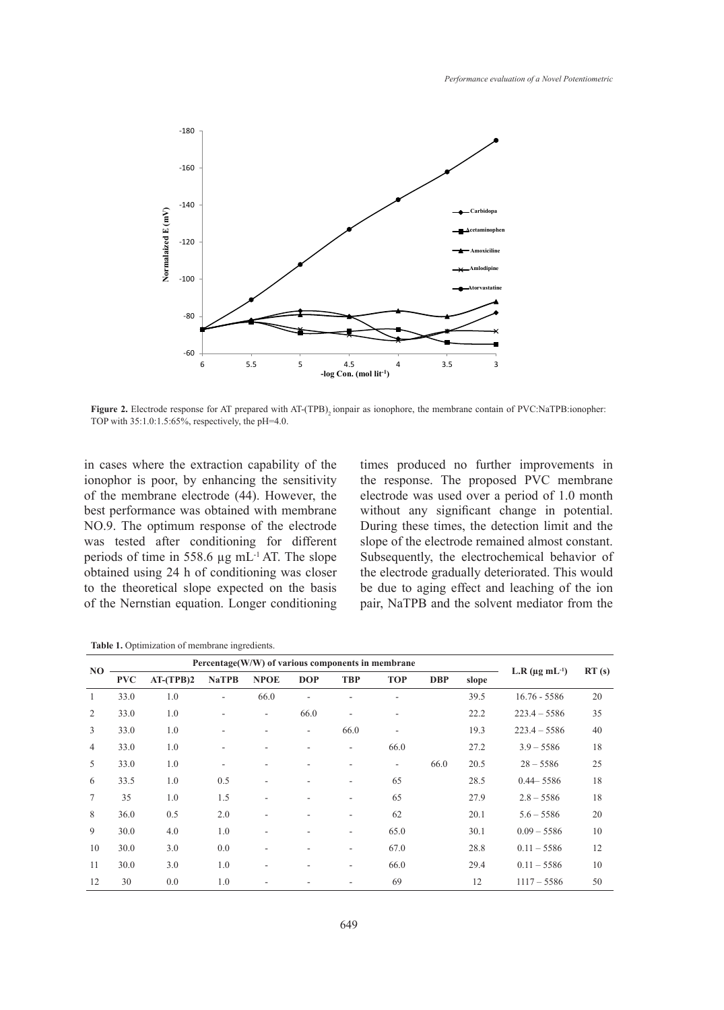

Figure 2. Electrode response for AT prepared with AT-(TPB), ionpair as ionophore, the membrane contain of PVC:NaTPB:ionopher: TOP with 35:1.0:1.5:65%, respectively, the pH=4.0.

in cases where the extraction capability of the ionophor is poor, by enhancing the sensitivity of the membrane electrode (44). However, the best performance was obtained with membrane NO.9. The optimum response of the electrode was tested after conditioning for different periods of time in 558.6 µg mL-1 AT. The slope obtained using 24 h of conditioning was closer to the theoretical slope expected on the basis of the Nernstian equation. Longer conditioning times produced no further improvements in the response. The proposed PVC membrane electrode was used over a period of 1.0 month without any significant change in potential. During these times, the detection limit and the slope of the electrode remained almost constant. Subsequently, the electrochemical behavior of the electrode gradually deteriorated. This would be due to aging effect and leaching of the ion pair, NaTPB and the solvent mediator from the

**Table 1.** Optimization of membrane ingredients.

|                | Percentage(W/W) of various components in membrane |             |              |                          |            |                          |                          |            |       |                               |       |
|----------------|---------------------------------------------------|-------------|--------------|--------------------------|------------|--------------------------|--------------------------|------------|-------|-------------------------------|-------|
| NO.            | <b>PVC</b>                                        | $AT-(TPB)2$ | <b>NaTPB</b> | <b>NPOE</b>              | <b>DOP</b> | <b>TBP</b>               | <b>TOP</b>               | <b>DBP</b> | slope | L.R $(\mu g \text{ mL}^{-1})$ | RT(s) |
| 1              | 33.0                                              | 1.0         | ٠            | 66.0                     |            |                          |                          |            | 39.5  | $16.76 - 5586$                | 20    |
| 2              | 33.0                                              | 1.0         | ۰            | $\overline{\phantom{a}}$ | 66.0       | $\overline{\phantom{a}}$ |                          |            | 22.2  | $223.4 - 5586$                | 35    |
| $\overline{3}$ | 33.0                                              | 1.0         | ٠            |                          | ۰          | 66.0                     |                          |            | 19.3  | $223.4 - 5586$                | 40    |
| $\overline{4}$ | 33.0                                              | 1.0         | ۰            |                          |            | ٠                        | 66.0                     |            | 27.2  | $3.9 - 5586$                  | 18    |
| 5              | 33.0                                              | 1.0         | ۰            |                          |            | $\overline{\phantom{a}}$ | $\overline{\phantom{a}}$ | 66.0       | 20.5  | $28 - 5586$                   | 25    |
| 6              | 33.5                                              | 1.0         | 0.5          |                          |            |                          | 65                       |            | 28.5  | $0.44 - 5586$                 | 18    |
| $\tau$         | 35                                                | 1.0         | 1.5          |                          |            | ٠                        | 65                       |            | 27.9  | $2.8 - 5586$                  | 18    |
| 8              | 36.0                                              | 0.5         | 2.0          |                          |            | $\overline{\phantom{a}}$ | 62                       |            | 20.1  | $5.6 - 5586$                  | 20    |
| 9              | 30.0                                              | 4.0         | 1.0          |                          |            | ۰                        | 65.0                     |            | 30.1  | $0.09 - 5586$                 | 10    |
| 10             | 30.0                                              | 3.0         | 0.0          |                          |            | ۰                        | 67.0                     |            | 28.8  | $0.11 - 5586$                 | 12    |
| 11             | 30.0                                              | 3.0         | 1.0          | ٠                        |            | ٠                        | 66.0                     |            | 29.4  | $0.11 - 5586$                 | 10    |
| 12             | 30                                                | 0.0         | 1.0          |                          |            |                          | 69                       |            | 12    | $1117 - 5586$                 | 50    |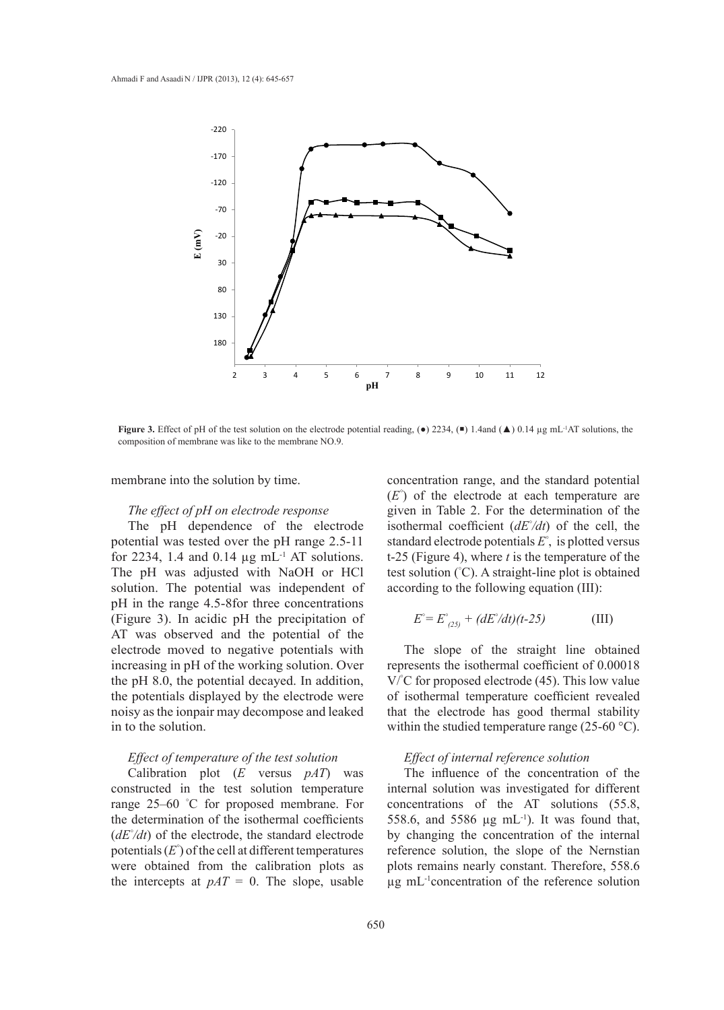

**Figure 3.** Effect of pH of the test solution on the electrode potential reading, ( $\bullet$ ) 2234, ( $\bullet$ ) 1.4and ( $\blacktriangle$ ) 0.14 µg mL<sup>-1</sup>AT solutions, the composition of membrane was like to the membrane NO.9.

membrane into the solution by time.

#### *The effect of pH on electrode response*

The pH dependence of the electrode potential was tested over the pH range 2.5-11 for 2234, 1.4 and 0.14  $\mu$ g mL<sup>-1</sup> AT solutions. The pH was adjusted with NaOH or HCl solution. The potential was independent of pH in the range 4.5-8for three concentrations (Figure 3). In acidic pH the precipitation of AT was observed and the potential of the electrode moved to negative potentials with increasing in pH of the working solution. Over the pH 8.0, the potential decayed. In addition, the potentials displayed by the electrode were noisy as the ionpair may decompose and leaked in to the solution.

# *Effect of temperature of the test solution*

Calibration plot (*E* versus *pAT*) was constructed in the test solution temperature range 25–60 ° C for proposed membrane. For the determination of the isothermal coefficients (*dE° /dt*) of the electrode, the standard electrode potentials (*E°* ) of the cell at different temperatures were obtained from the calibration plots as the intercepts at  $pAT = 0$ . The slope, usable

concentration range, and the standard potential (*E°* ) of the electrode at each temperature are given in Table 2. For the determination of the isothermal coefficient  $(dE<sup>\circ</sup>/dt)$  of the cell, the standard electrode potentials *E°* , is plotted versus t-25 (Figure 4), where *t* is the temperature of the test solution (° C). A straight-line plot is obtained according to the following equation (III):

$$
E^{\circ} = E^{\circ}_{(25)} + (dE^{\circ}/dt)(t-25)
$$
 (III)

The slope of the straight line obtained represents the isothermal coefficient of 0.00018 V/° C for proposed electrode (45). This low value of isothermal temperature coefficient revealed that the electrode has good thermal stability within the studied temperature range (25-60 °C).

# *Effect of internal reference solution*

The influence of the concentration of the internal solution was investigated for different concentrations of the AT solutions (55.8, 558.6, and 5586  $\mu$ g mL<sup>-1</sup>). It was found that, by changing the concentration of the internal reference solution, the slope of the Nernstian plots remains nearly constant. Therefore, 558.6 µg mL-1concentration of the reference solution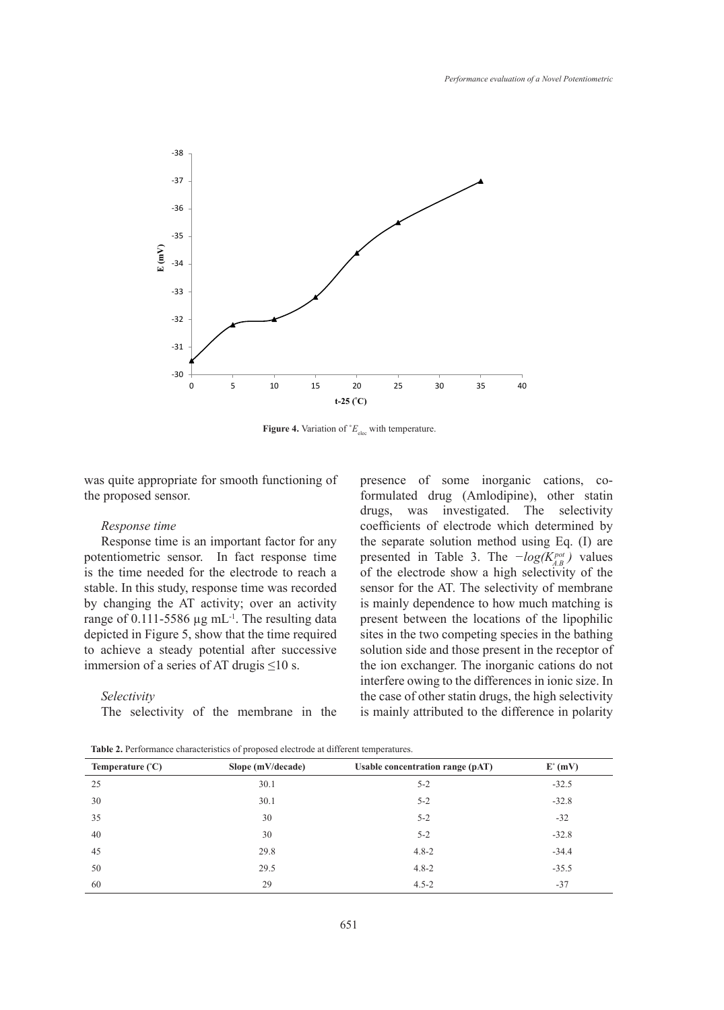

**Figure 4.** Variation of  $^{\circ}E_{\text{elec}}$  with temperature.

was quite appropriate for smooth functioning of the proposed sensor.

### *Response time*

Response time is an important factor for any potentiometric sensor. In fact response time is the time needed for the electrode to reach a stable. In this study, response time was recorded by changing the AT activity; over an activity range of 0.111-5586  $\mu$ g mL<sup>-1</sup>. The resulting data depicted in Figure 5, show that the time required to achieve a steady potential after successive immersion of a series of AT drugis  $\leq 10$  s.

#### *Selectivity*

The selectivity of the membrane in the

presence of some inorganic cations, coformulated drug (Amlodipine), other statin drugs, was investigated. The selectivity coefficients of electrode which determined by the separate solution method using Eq. (I) are presented in Table 3. The *−log(Kpot A.B )* values of the electrode show a high selectivity of the sensor for the AT. The selectivity of membrane is mainly dependence to how much matching is present between the locations of the lipophilic sites in the two competing species in the bathing solution side and those present in the receptor of the ion exchanger. The inorganic cations do not interfere owing to the differences in ionic size. In the case of other statin drugs, the high selectivity is mainly attributed to the difference in polarity

**Table 2.** Performance characteristics of proposed electrode at different temperatures.

| Temperature $(^{\circ}C)$ | Slope $(mV/decade)$ | Usable concentration range (pAT) | $E^{\circ}$ (mV) |
|---------------------------|---------------------|----------------------------------|------------------|
| 25                        | 30.1                | $5 - 2$                          | $-32.5$          |
| 30                        | 30.1                | $5 - 2$                          | $-32.8$          |
| 35                        | 30                  | $5 - 2$                          | $-32$            |
| 40                        | 30                  | $5 - 2$                          | $-32.8$          |
| 45                        | 29.8                | $4.8 - 2$                        | $-34.4$          |
| 50                        | 29.5                | $4.8 - 2$                        | $-35.5$          |
| 60                        | 29                  | $4.5 - 2$                        | $-37$            |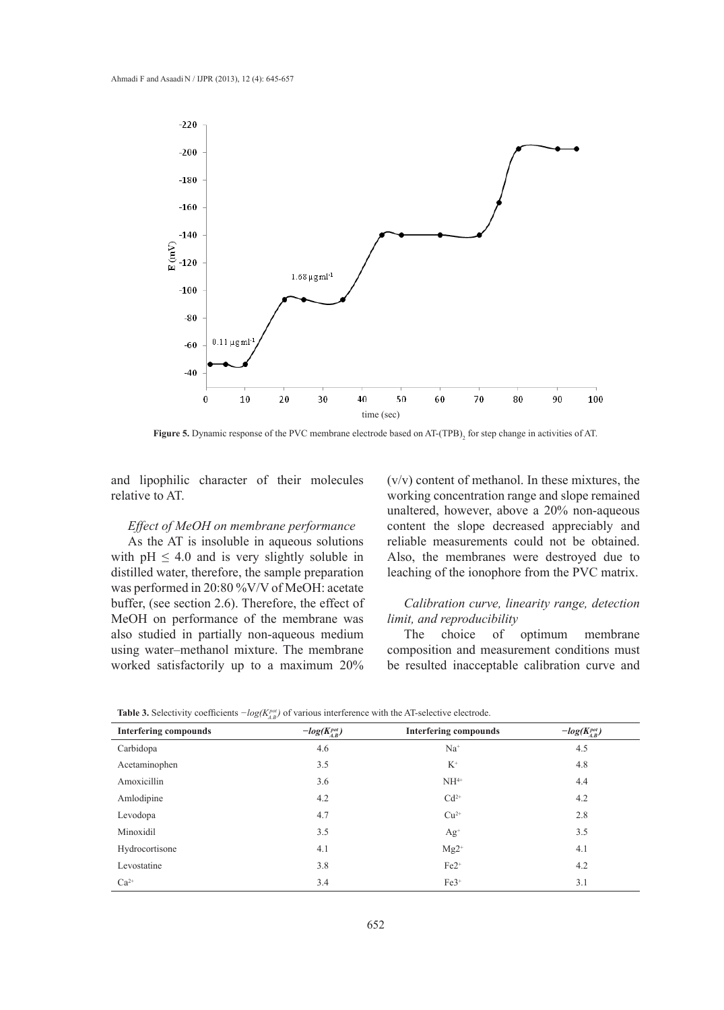

**Figure 5.** Dynamic response of the PVC membrane electrode based on AT-(TPB)<sub>2</sub> for step change in activities of AT.

and lipophilic character of their molecules relative to AT.

# *Effect of MeOH on membrane performance*

As the AT is insoluble in aqueous solutions with  $pH \leq 4.0$  and is very slightly soluble in distilled water, therefore, the sample preparation was performed in 20:80 %V/V of MeOH: acetate buffer, (see section 2.6). Therefore, the effect of MeOH on performance of the membrane was also studied in partially non-aqueous medium using water–methanol mixture. The membrane worked satisfactorily up to a maximum 20%

(v/v) content of methanol. In these mixtures, the working concentration range and slope remained unaltered, however, above a 20% non-aqueous content the slope decreased appreciably and reliable measurements could not be obtained. Also, the membranes were destroyed due to leaching of the ionophore from the PVC matrix.

# *Calibration curve, linearity range, detection limit, and reproducibility*

The choice of optimum membrane composition and measurement conditions must be resulted inacceptable calibration curve and

|                              | $\cup$ $\cdot$ $A.D'$ |                              |                       |
|------------------------------|-----------------------|------------------------------|-----------------------|
| <b>Interfering compounds</b> | $-log(K_{A,B}^{pot})$ | <b>Interfering compounds</b> | $-log(K_{A,B}^{pot})$ |
| Carbidopa                    | 4.6                   | $Na+$                        | 4.5                   |
| Acetaminophen                | 3.5                   | $K^+$                        | 4.8                   |
| Amoxicillin                  | 3.6                   | $NH4+$                       | 4.4                   |
| Amlodipine                   | 4.2                   | $Cd^{2+}$                    | 4.2                   |
| Levodopa                     | 4.7                   | $Cu2+$                       | 2.8                   |
| Minoxidil                    | 3.5                   | $Ag^+$                       | 3.5                   |
| Hydrocortisone               | 4.1                   | $Mg2^+$                      | 4.1                   |
| Levostatine                  | 3.8                   | $Fe2^+$                      | 4.2                   |
| $Ca^{2+}$                    | 3.4                   | $Fe3+$                       | 3.1                   |

**Table 3.** Selectivity coefficients *−log(K<sub><i>pot*</sub>)</sub> of various interference with the AT-selective electrode.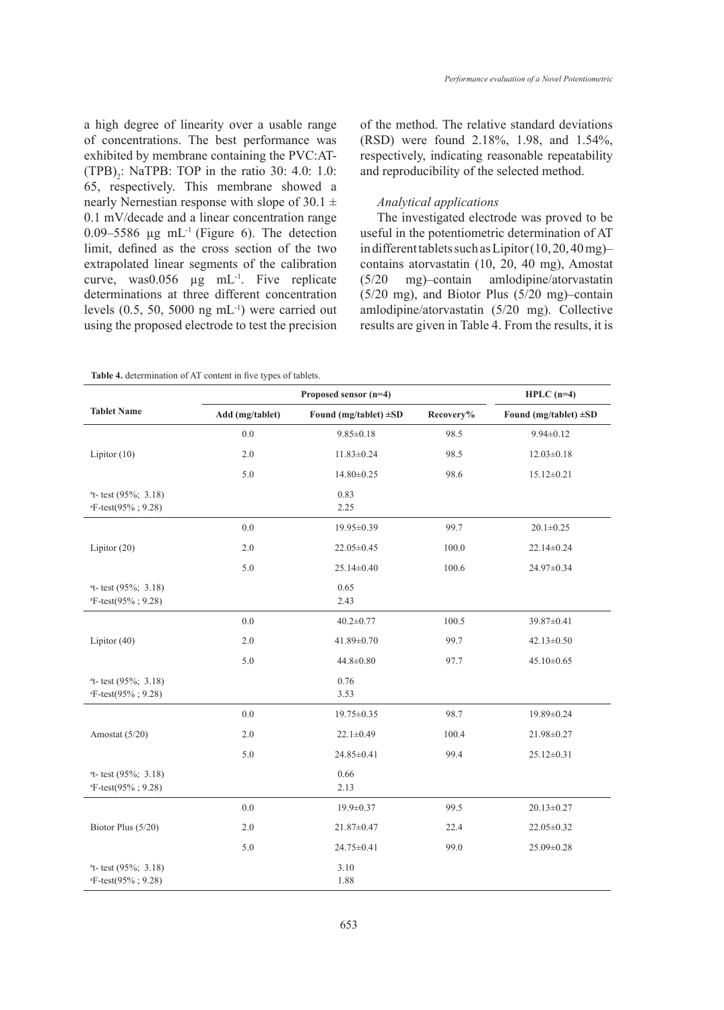a high degree of linearity over a usable range of concentrations. The best performance was exhibited by membrane containing the PVC:AT-  $(TPB)_{2}$ : NaTPB: TOP in the ratio 30: 4.0: 1.0: 65, respectively. This membrane showed a nearly Nernestian response with slope of  $30.1 \pm$ 0.1 mV/decade and a linear concentration range 0.09–5586  $\mu$ g mL<sup>-1</sup> (Figure 6). The detection limit, defined as the cross section of the two extrapolated linear segments of the calibration curve, was0.056  $\mu$ g mL<sup>-1</sup>. Five replicate determinations at three different concentration levels  $(0.5, 50, 5000 \text{ ng } \text{mL}^{-1})$  were carried out using the proposed electrode to test the precision

of the method. The relative standard deviations (RSD) were found 2.18%, 1.98, and 1.54%, respectively, indicating reasonable repeatability and reproducibility of the selected method.

# *Analytical applications*

The investigated electrode was proved to be useful in the potentiometric determination of AT in different tablets such as Lipitor (10, 20, 40 mg)– contains atorvastatin (10, 20, 40 mg), Amostat (5/20 mg)–contain amlodipine/atorvastatin (5/20 mg), and Biotor Plus (5/20 mg)–contain amlodipine/atorvastatin (5/20 mg). Collective results are given in Table 4. From the results, it is

| <b>Table 4.</b> determination of AT content in five types of tablets. |  |
|-----------------------------------------------------------------------|--|
|-----------------------------------------------------------------------|--|

|                                                         |                 | $HPLC$ (n=4)               |           |                            |
|---------------------------------------------------------|-----------------|----------------------------|-----------|----------------------------|
| <b>Tablet Name</b>                                      | Add (mg/tablet) | Found (mg/tablet) $\pm SD$ | Recovery% | Found (mg/tablet) $\pm SD$ |
|                                                         | $0.0\,$         | $9.85 \pm 0.18$            | 98.5      | $9.94 \pm 0.12$            |
| Lipitor $(10)$                                          | $2.0$           | $11.83 \pm 0.24$           | 98.5      | $12.03 \pm 0.18$           |
|                                                         | 5.0             | 14.80±0.25                 | 98.6      | $15.12 \pm 0.21$           |
| $at$ - test (95%; 3.18)<br>$E$ -test(95%; 9.28)         |                 | 0.83<br>2.25               |           |                            |
|                                                         | 0.0             | 19.95±0.39                 | 99.7      | $20.1 \pm 0.25$            |
| Lipitor $(20)$                                          | $2.0$           | 22.05 ± 0.45               | 100.0     | 22.14±0.24                 |
|                                                         | 5.0             | 25.14±0.40                 | 100.6     | 24.97±0.34                 |
| $at$ - test (95%; 3.18)<br>$E$ -test(95%; 9.28)         |                 | 0.65<br>2.43               |           |                            |
|                                                         | $0.0\,$         | $40.2 \pm 0.77$            | 100.5     | 39.87±0.41                 |
| Lipitor $(40)$                                          | $2.0\,$         | 41.89±0.70                 | 99.7      | $42.13 \pm 0.50$           |
|                                                         | 5.0             | $44.8 \pm 0.80$            | 97.7      | $45.10 \pm 0.65$           |
| $at$ - test (95%; 3.18)<br>${}^{a}$ F-test(95%; 9.28)   |                 | 0.76<br>3.53               |           |                            |
|                                                         | $0.0\,$         | 19.75±0.35                 | 98.7      | 19.89±0.24                 |
| Amostat (5/20)                                          | 2.0             | $22.1 \pm 0.49$            | 100.4     | 21.98±0.27                 |
|                                                         | 5.0             | 24.85±0.41                 | 99.4      | $25.12 \pm 0.31$           |
| <sup>a</sup> t-test (95%; 3.18)<br>$E$ -test(95%; 9.28) |                 | 0.66<br>2.13               |           |                            |
|                                                         | 0.0             | $19.9 \pm 0.37$            | 99.5      | $20.13 \pm 0.27$           |
| Biotor Plus (5/20)                                      | $2.0$           | 21.87±0.47                 | 22.4      | 22.05 ± 0.32               |
|                                                         | 5.0             | 24.75±0.41                 | 99.0      | 25.09±0.28                 |
| <sup>a</sup> t-test (95%; 3.18)<br>$E$ -test(95%; 9.28) |                 | 3.10<br>1.88               |           |                            |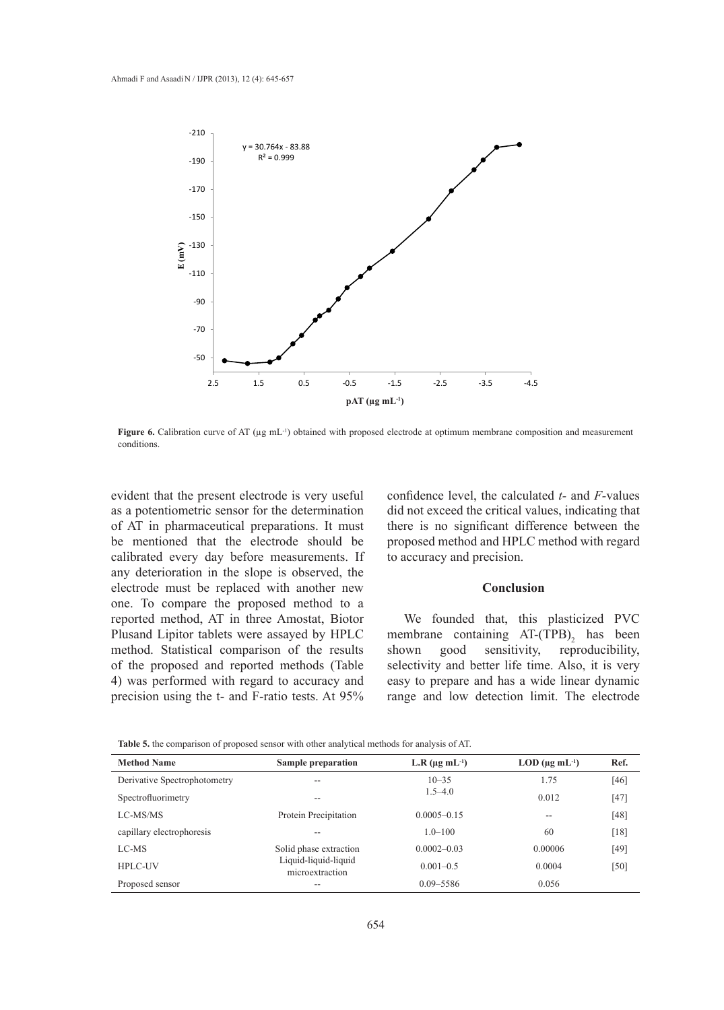

**Figure 6.** Calibration curve of AT (µg mL<sup>-1</sup>) obtained with proposed electrode at optimum membrane composition and measurement conditions.

evident that the present electrode is very useful as a potentiometric sensor for the determination of AT in pharmaceutical preparations. It must be mentioned that the electrode should be calibrated every day before measurements. If any deterioration in the slope is observed, the electrode must be replaced with another new one. To compare the proposed method to a reported method, AT in three Amostat, Biotor Plusand Lipitor tablets were assayed by HPLC method. Statistical comparison of the results of the proposed and reported methods (Table 4) was performed with regard to accuracy and precision using the t- and F-ratio tests. At 95%

confidence level, the calculated *t-* and *F-*values did not exceed the critical values, indicating that there is no significant difference between the proposed method and HPLC method with regard to accuracy and precision.

# **Conclusion**

We founded that, this plasticized PVC membrane containing  $AT-(TPB)$ <sub>2</sub> has been shown good sensitivity, reproducibility, selectivity and better life time. Also, it is very easy to prepare and has a wide linear dynamic range and low detection limit. The electrode

| <b>Method Name</b>           | <b>Sample preparation</b>               | L.R $(\mu g \, mL^{-1})$ | $LOD$ ( $\mu$ g mL <sup>-1</sup> ) | Ref.   |
|------------------------------|-----------------------------------------|--------------------------|------------------------------------|--------|
| Derivative Spectrophotometry | --                                      | $10 - 35$                | 1.75                               | [46]   |
| Spectrofluorimetry           | --                                      | $1.5 - 4.0$              | 0.012                              | $[47]$ |
| LC-MS/MS                     | Protein Precipitation                   | $0.0005 - 0.15$          | $\sim$ $\sim$                      | [48]   |
| capillary electrophoresis    |                                         | $1.0 - 100$              | 60                                 | [18]   |
| LC-MS                        | Solid phase extraction                  | $0.0002 - 0.03$          | 0.00006                            | [49]   |
| <b>HPLC-UV</b>               | Liquid-liquid-liquid<br>microextraction | $0.001 - 0.5$            | 0.0004                             | [50]   |
| Proposed sensor              |                                         | $0.09 - 5586$            | 0.056                              |        |

**Table 5.** the comparison of proposed sensor with other analytical methods for analysis of AT.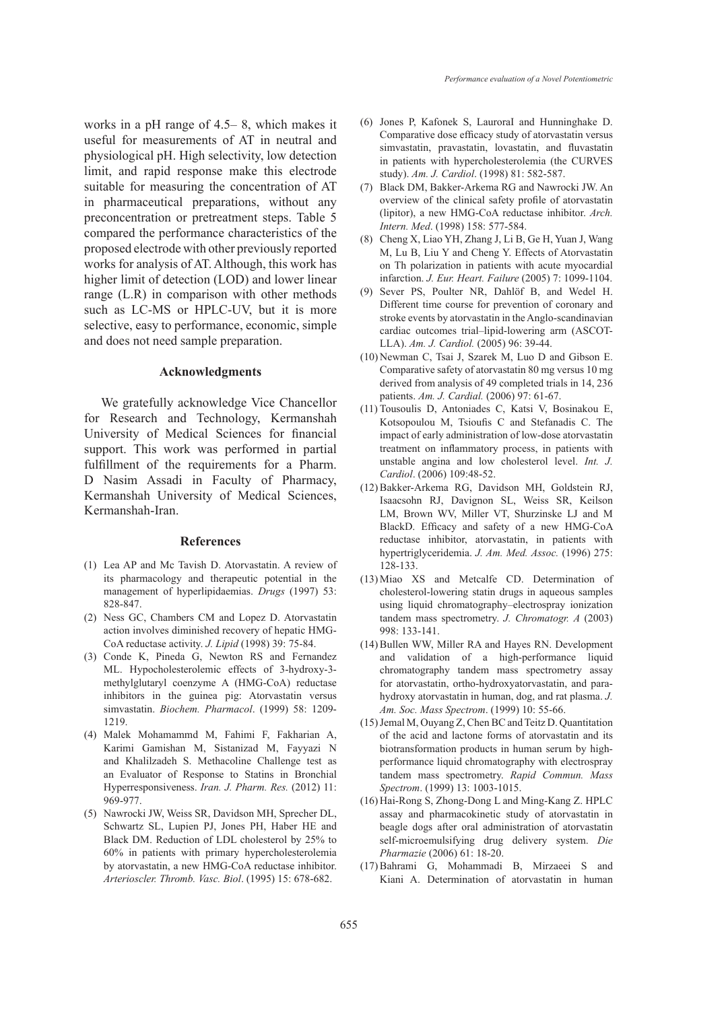works in a pH range of 4.5– 8, which makes it useful for measurements of AT in neutral and physiological pH. High selectivity, low detection limit, and rapid response make this electrode suitable for measuring the concentration of AT in pharmaceutical preparations, without any preconcentration or pretreatment steps. Table 5 compared the performance characteristics of the proposed electrode with other previously reported works for analysis of AT. Although, this work has higher limit of detection (LOD) and lower linear range (L.R) in comparison with other methods such as LC-MS or HPLC-UV, but it is more selective, easy to performance, economic, simple and does not need sample preparation.

### **Acknowledgments**

We gratefully acknowledge Vice Chancellor for Research and Technology, Kermanshah University of Medical Sciences for financial support. This work was performed in partial fulfillment of the requirements for a Pharm. D Nasim Assadi in Faculty of Pharmacy, Kermanshah University of Medical Sciences, Kermanshah-Iran.

#### **References**

- $(1)$  Lea AP and Mc Tavish D. Atorvastatin. A review of its pharmacology and therapeutic potential in the management of hyperlipidaemias. *Drugs* (1997) 53: 828-847.
- (2) Ness GC, Chambers CM and Lopez D. Atorvastatin action involves diminished recovery of hepatic HMG-CoA reductase activity. *J. Lipid* (1998) 39: 75-84.
- (3) Conde K, Pineda G, Newton RS and Fernandez ML. Hypocholesterolemic effects of 3-hydroxy-3 methylglutaryl coenzyme A (HMG-CoA) reductase inhibitors in the guinea pig: Atorvastatin versus simvastatin. *Biochem. Pharmacol*. (1999) 58: 1209- 1219.
- Malek Mohamammd M, Fahimi F, Fakharian A, (4) Karimi Gamishan M, Sistanizad M, Fayyazi N and Khalilzadeh S. Methacoline Challenge test as an Evaluator of Response to Statins in Bronchial Hyperresponsiveness. *Iran. J. Pharm. Res.* (2012) 11: 969-977.
- (5) Nawrocki JW, Weiss SR, Davidson MH, Sprecher DL, Schwartz SL, Lupien PJ, Jones PH, Haber HE and Black DM. Reduction of LDL cholesterol by 25% to 60% in patients with primary hypercholesterolemia by atorvastatin, a new HMG-CoA reductase inhibitor. *Arterioscler. Thromb. Vasc. Biol*. (1995) 15: 678-682.
- Jones P, Kafonek S, LauroraI and Hunninghake D. (6) Comparative dose efficacy study of atorvastatin versus simvastatin, pravastatin, lovastatin, and fluvastatin in patients with hypercholesterolemia (the CURVES study). *Am. J. Cardiol*. (1998) 81: 582-587.
- Black DM, Bakker-Arkema RG and Nawrocki JW. An (7) overview of the clinical safety profile of atorvastatin (lipitor), a new HMG-CoA reductase inhibitor. *Arch. Intern. Med*. (1998) 158: 577-584.
- Cheng X, Liao YH, Zhang J, Li B, Ge H, Yuan J, Wang (8) M, Lu B, Liu Y and Cheng Y. Effects of Atorvastatin on Th polarization in patients with acute myocardial infarction. *J. Eur. Heart. Failure* (2005) 7: 1099-1104.
- (9) Sever PS, Poulter NR, Dahlöf B, and Wedel H. Different time course for prevention of coronary and stroke events by atorvastatin in the Anglo-scandinavian cardiac outcomes trial–lipid-lowering arm (ASCOT-LLA). *Am. J. Cardiol.* (2005) 96: 39-44.
- $(10)$  Newman C, Tsai J, Szarek M, Luo D and Gibson E. Comparative safety of atorvastatin 80 mg versus 10 mg derived from analysis of 49 completed trials in 14, 236 patients. *Am. J. Cardial.* (2006) 97: 61-67.
- (11) Tousoulis D, Antoniades C, Katsi V, Bosinakou E, Kotsopoulou M, Tsioufis C and Stefanadis C. The impact of early administration of low-dose atorvastatin treatment on inflammatory process, in patients with unstable angina and low cholesterol level. *Int. J. Cardiol*. (2006) 109:48-52.
- (12) Bakker-Arkema RG, Davidson MH, Goldstein RJ, Isaacsohn RJ, Davignon SL, Weiss SR, Keilson LM, Brown WV, Miller VT, Shurzinske LJ and M BlackD. Efficacy and safety of a new HMG-CoA reductase inhibitor, atorvastatin, in patients with hypertriglyceridemia. *J. Am. Med. Assoc.* (1996) 275: 128-133.
- (13) Miao XS and Metcalfe CD. Determination of cholesterol-lowering statin drugs in aqueous samples using liquid chromatography–electrospray ionization tandem mass spectrometry. *J. Chromatogr. A* (2003) 998: 133-141.
- (14) Bullen WW, Miller RA and Hayes RN. Development and validation of a high-performance liquid chromatography tandem mass spectrometry assay for atorvastatin, ortho-hydroxyatorvastatin, and parahydroxy atorvastatin in human, dog, and rat plasma. *J. Am. Soc. Mass Spectrom*. (1999) 10: 55-66.
- (15) Jemal M, Ouyang Z, Chen BC and Teitz D. Quantitation of the acid and lactone forms of atorvastatin and its biotransformation products in human serum by highperformance liquid chromatography with electrospray tandem mass spectrometry. *Rapid Commun. Mass Spectrom*. (1999) 13: 1003-1015.
- (16) Hai-Rong S, Zhong-Dong L and Ming-Kang Z. HPLC assay and pharmacokinetic study of atorvastatin in beagle dogs after oral administration of atorvastatin self-microemulsifying drug delivery system. *Die Pharmazie* (2006) 61: 18-20.
- Bahrami G, Mohammadi B, Mirzaeei S and (17)Kiani A. Determination of atorvastatin in human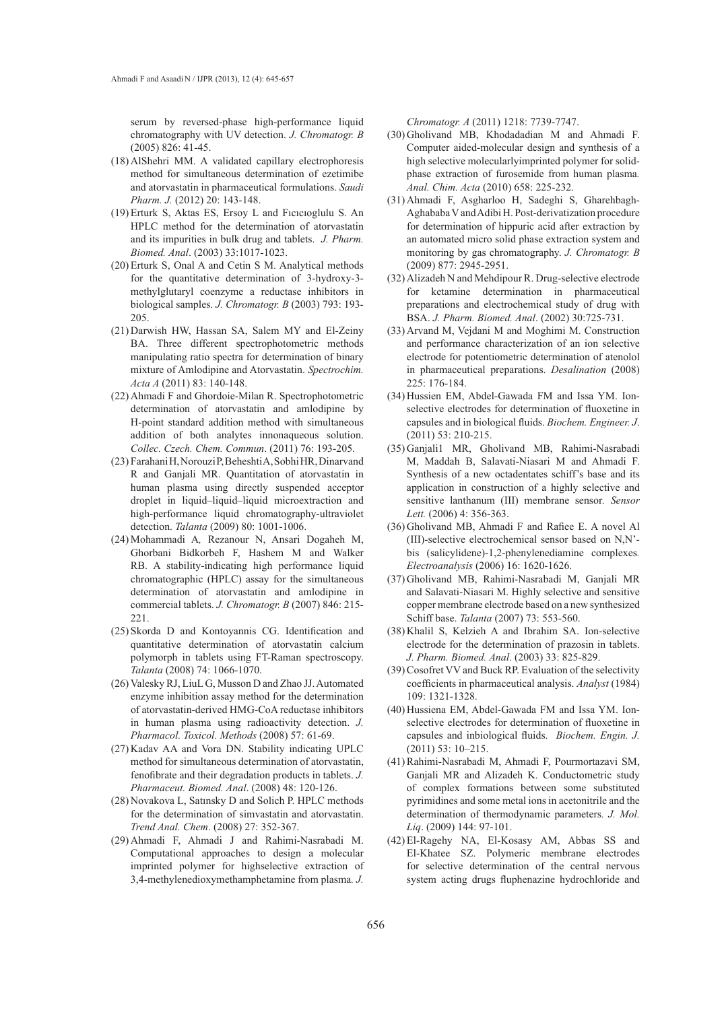serum by reversed-phase high-performance liquid chromatography with UV detection. *J. Chromatogr. B* (2005) 826: 41-45.

- (18) AlShehri MM. A validated capillary electrophoresis method for simultaneous determination of ezetimibe and atorvastatin in pharmaceutical formulations. *Saudi Pharm. J.* (2012) 20: 143-148.
- Erturk S, Aktas ES, Ersoy L and Fıcıcıoglulu S. An (19) HPLC method for the determination of atorvastatin and its impurities in bulk drug and tablets. *J. Pharm. Biomed. Anal*. (2003) 33:1017-1023.
- (20) Erturk S, Onal A and Cetin S M. Analytical methods for the quantitative determination of 3-hydroxy-3 methylglutaryl coenzyme a reductase inhibitors in biological samples. *J. Chromatogr. B* (2003) 793: 193- 205.
- (21) Darwish HW, Hassan SA, Salem MY and El-Zeiny BA. Three different spectrophotometric methods manipulating ratio spectra for determination of binary mixture of Amlodipine and Atorvastatin. *Spectrochim. Acta A* (2011) 83: 140-148.
- (22) Ahmadi F and Ghordoie-Milan R. Spectrophotometric determination of atorvastatin and amlodipine by H-point standard addition method with simultaneous addition of both analytes innonaqueous solution. *Collec. Czech. Chem. Commun*. (2011) 76: 193-205.
- Farahani H, Norouzi P, Beheshti A, Sobhi HR, Dinarvand (23) R and Ganjali MR. Quantitation of atorvastatin in human plasma using directly suspended acceptor droplet in liquid–liquid–liquid microextraction and high-performance liquid chromatography-ultraviolet detection. *Talanta* (2009) 80: 1001-1006.
- (24) Mohammadi A, Rezanour N, Ansari Dogaheh M, Ghorbani Bidkorbeh F, Hashem M and Walker RB. A stability-indicating high performance liquid chromatographic (HPLC) assay for the simultaneous determination of atorvastatin and amlodipine in commercial tablets. *J. Chromatogr. B* (2007) 846: 215- 221.
- (25) Skorda D and Kontoyannis CG. Identification and quantitative determination of atorvastatin calcium polymorph in tablets using FT-Raman spectroscopy. *Talanta* (2008) 74: 1066-1070.
- (26) Valesky RJ, LiuL G, Musson D and Zhao JJ. Automated enzyme inhibition assay method for the determination of atorvastatin-derived HMG-CoA reductase inhibitors in human plasma using radioactivity detection. *J. Pharmacol. Toxicol. Methods* (2008) 57: 61-69.
- (27) Kadav AA and Vora DN. Stability indicating UPLC method for simultaneous determination of atorvastatin, fenofibrate and their degradation products in tablets. *J. Pharmaceut. Biomed. Anal*. (2008) 48: 120-126.
- (28) Novakova L, Satınsky D and Solich P. HPLC methods for the determination of simvastatin and atorvastatin. *Trend Anal. Chem*. (2008) 27: 352-367.
- (29) Ahmadi F, Ahmadi J and Rahimi-Nasrabadi M. Computational approaches to design a molecular imprinted polymer for highselective extraction of 3,4-methylenedioxymethamphetamine from plasma*. J.*

*Chromatogr. A* (2011) 1218: 7739-7747.

- Gholivand MB, Khodadadian M and Ahmadi F. (30) Computer aided-molecular design and synthesis of a high selective molecularlyimprinted polymer for solidphase extraction of furosemide from human plasma*. Anal. Chim. Acta* (2010) 658: 225-232.
- (31) Ahmadi F, Asgharloo H, Sadeghi S, Gharehbagh-Aghababa V and Adibi H. Post-derivatization procedure for determination of hippuric acid after extraction by an automated micro solid phase extraction system and monitoring by gas chromatography. *J. Chromatogr. B* (2009) 877: 2945-2951.
- Alizadeh N and Mehdipour R. Drug-selective electrode (32) for ketamine determination in pharmaceutical preparations and electrochemical study of drug with BSA. *J. Pharm. Biomed. Anal*. (2002) 30:725-731.
- (33) Arvand M, Vejdani M and Moghimi M. Construction and performance characterization of an ion selective electrode for potentiometric determination of atenolol in pharmaceutical preparations. *Desalination* (2008) 225: 176-184.
- (34) Hussien EM, Abdel-Gawada FM and Issa YM. Ionselective electrodes for determination of fluoxetine in capsules and in biological fluids. *Biochem. Engineer. J*. (2011) 53: 210-215.
- Ganjali1 MR, Gholivand MB, Rahimi-Nasrabadi (35) M, Maddah B, Salavati-Niasari M and Ahmadi F. Synthesis of a new octadentates schiff's base and its application in construction of a highly selective and sensitive lanthanum (III) membrane sensor*. Sensor Lett.* (2006) 4: 356-363.
- Gholivand MB, Ahmadi F and Rafiee E. A novel Al (36) (III)-selective electrochemical sensor based on N,N' bis (salicylidene)-1,2-phenylenediamine complexes*. Electroanalysis* (2006) 16: 1620-1626.
- (37) Gholivand MB, Rahimi-Nasrabadi M, Ganjali MR and Salavati-Niasari M. Highly selective and sensitive copper membrane electrode based on a new synthesized Schiff base. *Talanta* (2007) 73: 553-560.
- (38) Khalil S, Kelzieh A and Ibrahim SA. Ion-selective electrode for the determination of prazosin in tablets. *J. Pharm. Biomed. Anal*. (2003) 33: 825-829.
- (39) Cosofret VV and Buck RP. Evaluation of the selectivity coefficients in pharmaceutical analysis. *Analyst* (1984) 109: 1321-1328.
- (40) Hussiena EM, Abdel-Gawada FM and Issa YM. Ionselective electrodes for determination of fluoxetine in capsules and inbiological fluids. *Biochem. Engin. J.* (2011) 53: 10–215.
- (41) Rahimi-Nasrabadi M, Ahmadi F, Pourmortazavi SM, Ganjali MR and Alizadeh K. Conductometric study of complex formations between some substituted pyrimidines and some metal ions in acetonitrile and the determination of thermodynamic parameters*. J. Mol. Liq*. (2009) 144: 97-101.
- El-Ragehy NA, El-Kosasy AM, Abbas SS and (42)El-Khatee SZ. Polymeric membrane electrodes for selective determination of the central nervous system acting drugs fluphenazine hydrochloride and